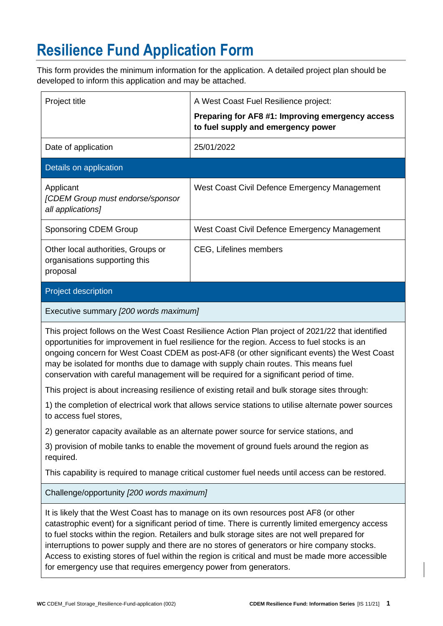# **Resilience Fund Application Form**

This form provides the minimum information for the application. A detailed project plan should be developed to inform this application and may be attached.

| Project title                                                                   | A West Coast Fuel Resilience project:                                                                                                                                                                                                                                                                                                                                                                                                                                                          |
|---------------------------------------------------------------------------------|------------------------------------------------------------------------------------------------------------------------------------------------------------------------------------------------------------------------------------------------------------------------------------------------------------------------------------------------------------------------------------------------------------------------------------------------------------------------------------------------|
|                                                                                 | Preparing for AF8 #1: Improving emergency access<br>to fuel supply and emergency power                                                                                                                                                                                                                                                                                                                                                                                                         |
| Date of application                                                             | 25/01/2022                                                                                                                                                                                                                                                                                                                                                                                                                                                                                     |
| Details on application                                                          |                                                                                                                                                                                                                                                                                                                                                                                                                                                                                                |
| Applicant<br>[CDEM Group must endorse/sponsor<br>all applications]              | West Coast Civil Defence Emergency Management                                                                                                                                                                                                                                                                                                                                                                                                                                                  |
| <b>Sponsoring CDEM Group</b>                                                    | West Coast Civil Defence Emergency Management                                                                                                                                                                                                                                                                                                                                                                                                                                                  |
| Other local authorities, Groups or<br>organisations supporting this<br>proposal | CEG, Lifelines members                                                                                                                                                                                                                                                                                                                                                                                                                                                                         |
| Project description                                                             |                                                                                                                                                                                                                                                                                                                                                                                                                                                                                                |
| Executive summary [200 words maximum]                                           |                                                                                                                                                                                                                                                                                                                                                                                                                                                                                                |
|                                                                                 | This project follows on the West Coast Resilience Action Plan project of 2021/22 that identified<br>opportunities for improvement in fuel resilience for the region. Access to fuel stocks is an<br>ongoing concern for West Coast CDEM as post-AF8 (or other significant events) the West Coast<br>may be isolated for months due to damage with supply chain routes. This means fuel<br>conservation with careful management will be required for a significant period of time.              |
|                                                                                 | This project is about increasing resilience of existing retail and bulk storage sites through:                                                                                                                                                                                                                                                                                                                                                                                                 |
| to access fuel stores                                                           | 1) the completion of electrical work that allows service stations to utilise alternate power sources                                                                                                                                                                                                                                                                                                                                                                                           |
|                                                                                 | 2) generator capacity available as an alternate power source for service stations, and                                                                                                                                                                                                                                                                                                                                                                                                         |
| required.                                                                       | 3) provision of mobile tanks to enable the movement of ground fuels around the region as                                                                                                                                                                                                                                                                                                                                                                                                       |
|                                                                                 | This capability is required to manage critical customer fuel needs until access can be restored.                                                                                                                                                                                                                                                                                                                                                                                               |
| Challenge/opportunity [200 words maximum]                                       |                                                                                                                                                                                                                                                                                                                                                                                                                                                                                                |
|                                                                                 | It is likely that the West Coast has to manage on its own resources post AF8 (or other<br>catastrophic event) for a significant period of time. There is currently limited emergency access<br>to fuel stocks within the region. Retailers and bulk storage sites are not well prepared for<br>interruptions to power supply and there are no stores of generators or hire company stocks.<br>Access to existing stores of fuel within the region is critical and must be made more accessible |

for emergency use that requires emergency power from generators.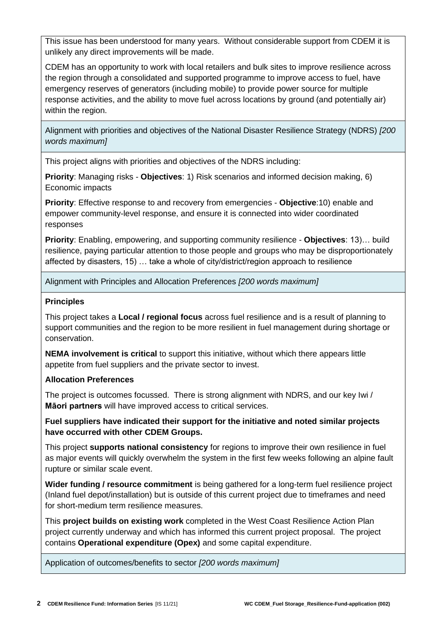This issue has been understood for many years. Without considerable support from CDEM it is unlikely any direct improvements will be made.

CDEM has an opportunity to work with local retailers and bulk sites to improve resilience across the region through a consolidated and supported programme to improve access to fuel, have emergency reserves of generators (including mobile) to provide power source for multiple response activities, and the ability to move fuel across locations by ground (and potentially air) within the region.

Alignment with priorities and objectives of the National Disaster Resilience Strategy (NDRS) *[200 words maximum]*

This project aligns with priorities and objectives of the NDRS including:

**Priority**: Managing risks - **Objectives**: 1) Risk scenarios and informed decision making, 6) Economic impacts

**Priority**: Effective response to and recovery from emergencies - **Objective**:10) enable and empower community-level response, and ensure it is connected into wider coordinated responses

**Priority**: Enabling, empowering, and supporting community resilience - **Objectives**: 13)… build resilience, paying particular attention to those people and groups who may be disproportionately affected by disasters, 15) … take a whole of city/district/region approach to resilience

Alignment with Principles and Allocation Preferences *[200 words maximum]*

#### **Principles**

This project takes a **Local / regional focus** across fuel resilience and is a result of planning to support communities and the region to be more resilient in fuel management during shortage or conservation.

**NEMA involvement is critical** to support this initiative, without which there appears little appetite from fuel suppliers and the private sector to invest.

### **Allocation Preferences**

The project is outcomes focussed. There is strong alignment with NDRS, and our key Iwi / **Māori partners** will have improved access to critical services.

**Fuel suppliers have indicated their support for the initiative and noted similar projects have occurred with other CDEM Groups.**

This project **supports national consistency** for regions to improve their own resilience in fuel as major events will quickly overwhelm the system in the first few weeks following an alpine fault rupture or similar scale event.

**Wider funding / resource commitment** is being gathered for a long-term fuel resilience project (Inland fuel depot/installation) but is outside of this current project due to timeframes and need for short-medium term resilience measures.

This **project builds on existing work** completed in the West Coast Resilience Action Plan project currently underway and which has informed this current project proposal. The project contains **Operational expenditure (Opex)** and some capital expenditure.

Application of outcomes/benefits to sector *[200 words maximum]*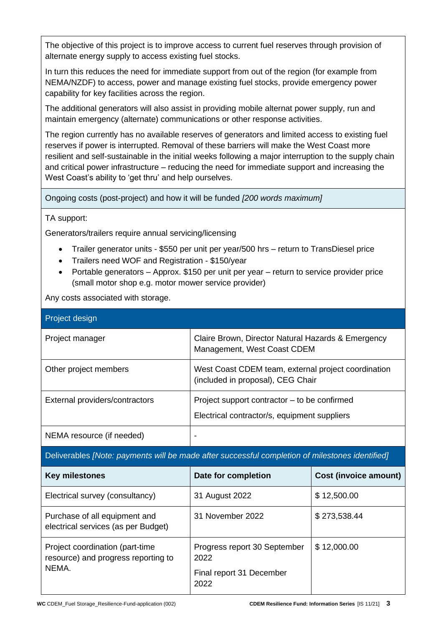The objective of this project is to improve access to current fuel reserves through provision of alternate energy supply to access existing fuel stocks.

In turn this reduces the need for immediate support from out of the region (for example from NEMA/NZDF) to access, power and manage existing fuel stocks, provide emergency power capability for key facilities across the region.

The additional generators will also assist in providing mobile alternat power supply, run and maintain emergency (alternate) communications or other response activities.

The region currently has no available reserves of generators and limited access to existing fuel reserves if power is interrupted. Removal of these barriers will make the West Coast more resilient and self-sustainable in the initial weeks following a major interruption to the supply chain and critical power infrastructure – reducing the need for immediate support and increasing the West Coast's ability to 'get thru' and help ourselves.

Ongoing costs (post-project) and how it will be funded *[200 words maximum]*

#### TA support:

Generators/trailers require annual servicing/licensing

- Trailer generator units \$550 per unit per year/500 hrs return to TransDiesel price
- Trailers need WOF and Registration \$150/year
- Portable generators Approx. \$150 per unit per year return to service provider price (small motor shop e.g. motor mower service provider)

Any costs associated with storage.

| Project design                 |                                                                                              |
|--------------------------------|----------------------------------------------------------------------------------------------|
| Project manager                | Claire Brown, Director Natural Hazards & Emergency<br>Management, West Coast CDEM            |
| Other project members          | West Coast CDEM team, external project coordination<br>(included in proposal), CEG Chair     |
| External providers/contractors | Project support contractor – to be confirmed<br>Electrical contractor/s, equipment suppliers |
| NEMA resource (if needed)      |                                                                                              |

Deliverables *[Note: payments will be made after successful completion of milestones identified]*

| <b>Key milestones</b>                                                  | Date for completion                  | <b>Cost (invoice amount)</b> |
|------------------------------------------------------------------------|--------------------------------------|------------------------------|
| Electrical survey (consultancy)                                        | 31 August 2022                       | \$12,500.00                  |
| Purchase of all equipment and<br>electrical services (as per Budget)   | 31 November 2022                     | \$273,538.44                 |
| Project coordination (part-time<br>resource) and progress reporting to | Progress report 30 September<br>2022 | \$12,000.00                  |
| NEMA.                                                                  | Final report 31 December<br>2022     |                              |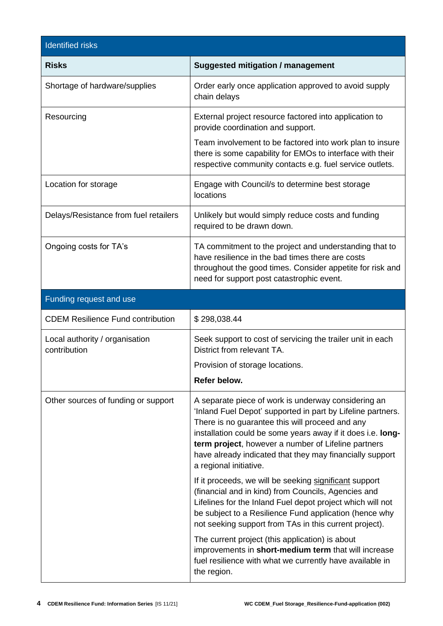| <b>Identified risks</b>                        |                                                                                                                                                                                                                                                                                                                                                                                   |
|------------------------------------------------|-----------------------------------------------------------------------------------------------------------------------------------------------------------------------------------------------------------------------------------------------------------------------------------------------------------------------------------------------------------------------------------|
| <b>Risks</b>                                   | <b>Suggested mitigation / management</b>                                                                                                                                                                                                                                                                                                                                          |
| Shortage of hardware/supplies                  | Order early once application approved to avoid supply<br>chain delays                                                                                                                                                                                                                                                                                                             |
| Resourcing                                     | External project resource factored into application to<br>provide coordination and support.                                                                                                                                                                                                                                                                                       |
|                                                | Team involvement to be factored into work plan to insure<br>there is some capability for EMOs to interface with their<br>respective community contacts e.g. fuel service outlets.                                                                                                                                                                                                 |
| Location for storage                           | Engage with Council/s to determine best storage<br>locations                                                                                                                                                                                                                                                                                                                      |
| Delays/Resistance from fuel retailers          | Unlikely but would simply reduce costs and funding<br>required to be drawn down.                                                                                                                                                                                                                                                                                                  |
| Ongoing costs for TA's                         | TA commitment to the project and understanding that to<br>have resilience in the bad times there are costs<br>throughout the good times. Consider appetite for risk and<br>need for support post catastrophic event.                                                                                                                                                              |
| Funding request and use                        |                                                                                                                                                                                                                                                                                                                                                                                   |
| <b>CDEM Resilience Fund contribution</b>       | \$298,038.44                                                                                                                                                                                                                                                                                                                                                                      |
| Local authority / organisation<br>contribution | Seek support to cost of servicing the trailer unit in each<br>District from relevant TA.                                                                                                                                                                                                                                                                                          |
|                                                | Provision of storage locations.                                                                                                                                                                                                                                                                                                                                                   |
|                                                | Refer below.                                                                                                                                                                                                                                                                                                                                                                      |
| Other sources of funding or support            | A separate piece of work is underway considering an<br>'Inland Fuel Depot' supported in part by Lifeline partners.<br>There is no guarantee this will proceed and any<br>installation could be some years away if it does i.e. long-<br>term project, however a number of Lifeline partners<br>have already indicated that they may financially support<br>a regional initiative. |
|                                                | If it proceeds, we will be seeking significant support<br>(financial and in kind) from Councils, Agencies and<br>Lifelines for the Inland Fuel depot project which will not<br>be subject to a Resilience Fund application (hence why<br>not seeking support from TAs in this current project).                                                                                   |
|                                                | The current project (this application) is about<br>improvements in short-medium term that will increase<br>fuel resilience with what we currently have available in<br>the region.                                                                                                                                                                                                |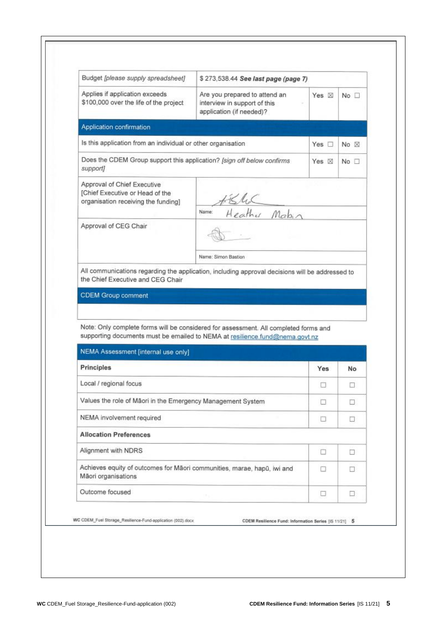| Budget [please supply spreadsheet]                                                                                                                                                                                                                                                                                                                                                                  | \$273,538.44 See last page (page 7)                                                                                                                                  |                 |                |
|-----------------------------------------------------------------------------------------------------------------------------------------------------------------------------------------------------------------------------------------------------------------------------------------------------------------------------------------------------------------------------------------------------|----------------------------------------------------------------------------------------------------------------------------------------------------------------------|-----------------|----------------|
| Applies if application exceeds<br>\$100,000 over the life of the project                                                                                                                                                                                                                                                                                                                            | Are you prepared to attend an<br>interview in support of this<br>application (if needed)?                                                                            | Yes $\boxtimes$ | $No$ $\Box$    |
| Application confirmation                                                                                                                                                                                                                                                                                                                                                                            |                                                                                                                                                                      |                 |                |
| Is this application from an individual or other organisation                                                                                                                                                                                                                                                                                                                                        |                                                                                                                                                                      | Yes $\Box$      | No $\boxtimes$ |
| Does the CDEM Group support this application? [sign off below confirms<br>support]                                                                                                                                                                                                                                                                                                                  |                                                                                                                                                                      | Yes $\boxtimes$ | No             |
| Approval of Chief Executive<br>[Chief Executive or Head of the<br>organisation receiving the funding]                                                                                                                                                                                                                                                                                               | KluC<br>Heather Mabin<br>Name:                                                                                                                                       |                 |                |
| Approval of CEG Chair                                                                                                                                                                                                                                                                                                                                                                               |                                                                                                                                                                      |                 |                |
|                                                                                                                                                                                                                                                                                                                                                                                                     |                                                                                                                                                                      |                 |                |
|                                                                                                                                                                                                                                                                                                                                                                                                     | Name: Simon Bastion<br>All communications regarding the application, including approval decisions will be addressed to                                               |                 |                |
|                                                                                                                                                                                                                                                                                                                                                                                                     | Note: Only complete forms will be considered for assessment. All completed forms and<br>supporting documents must be emailed to NEMA at resilience.fund@nema.govt.nz |                 |                |
|                                                                                                                                                                                                                                                                                                                                                                                                     |                                                                                                                                                                      |                 |                |
|                                                                                                                                                                                                                                                                                                                                                                                                     |                                                                                                                                                                      | Yes             | No             |
|                                                                                                                                                                                                                                                                                                                                                                                                     |                                                                                                                                                                      | П               | Ω              |
|                                                                                                                                                                                                                                                                                                                                                                                                     |                                                                                                                                                                      | n               | o              |
|                                                                                                                                                                                                                                                                                                                                                                                                     |                                                                                                                                                                      | o               | π              |
|                                                                                                                                                                                                                                                                                                                                                                                                     |                                                                                                                                                                      |                 |                |
|                                                                                                                                                                                                                                                                                                                                                                                                     |                                                                                                                                                                      | o               | Ω              |
| the Chief Executive and CEG Chair<br><b>CDEM Group comment</b><br>NEMA Assessment [internal use only]<br>Principles<br>Local / regional focus<br>Values the role of Māori in the Emergency Management System<br>NEMA involvement required<br><b>Allocation Preferences</b><br>Alignment with NDRS<br>Achieves equity of outcomes for Māori communities, marae, hapū, iwi and<br>Mãori organisations |                                                                                                                                                                      | n               | Π.             |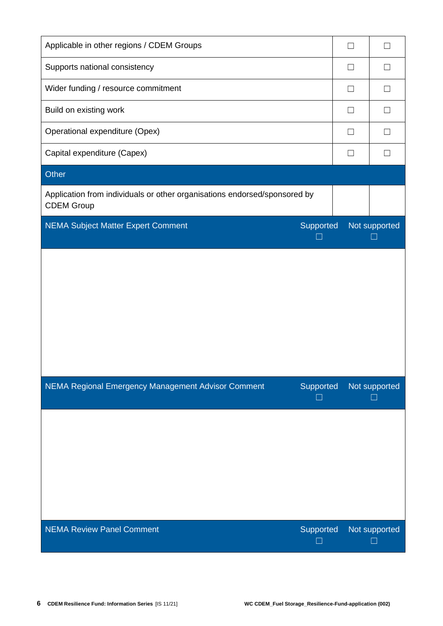| Applicable in other regions / CDEM Groups                                                      |           | $\Box$            |                               |
|------------------------------------------------------------------------------------------------|-----------|-------------------|-------------------------------|
| Supports national consistency                                                                  |           | $\Box$            |                               |
| Wider funding / resource commitment                                                            |           | $\vert \ \ \vert$ |                               |
| Build on existing work                                                                         |           | П                 |                               |
| Operational expenditure (Opex)                                                                 |           | П                 |                               |
| Capital expenditure (Capex)                                                                    |           | $\Box$            |                               |
| Other                                                                                          |           |                   |                               |
| Application from individuals or other organisations endorsed/sponsored by<br><b>CDEM Group</b> |           |                   |                               |
| <b>NEMA Subject Matter Expert Comment</b>                                                      | Supported |                   | Not supported                 |
|                                                                                                |           |                   |                               |
| NEMA Regional Emergency Management Advisor Comment                                             | Supported |                   | Not supported<br>H            |
|                                                                                                |           |                   |                               |
| <b>NEMA Review Panel Comment</b>                                                               | Supported |                   | Not supported<br>$\mathsf{L}$ |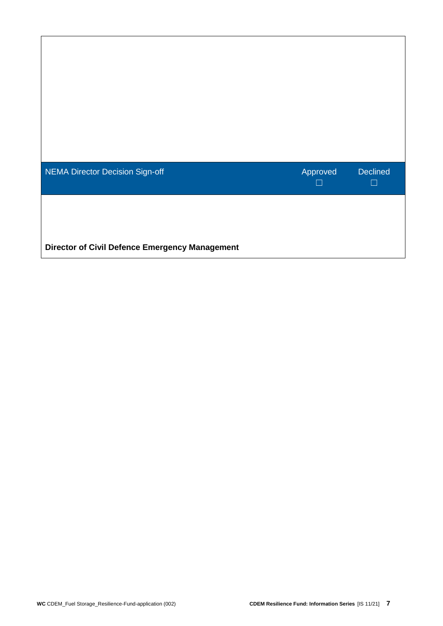| <b>NEMA Director Decision Sign-off</b>                | Approved | <b>Declined</b><br>$\Box$ |
|-------------------------------------------------------|----------|---------------------------|
| <b>Director of Civil Defence Emergency Management</b> |          |                           |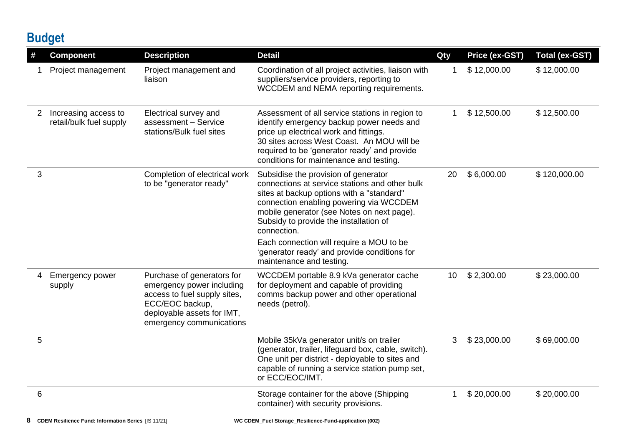## **Budget**

| #            | <b>Component</b>                                | <b>Description</b>                                                                                                                                                   | <b>Detail</b>                                                                                                                                                                                                                                                                                                                                                                                                 | Qty         | Price (ex-GST) | <b>Total (ex-GST)</b> |
|--------------|-------------------------------------------------|----------------------------------------------------------------------------------------------------------------------------------------------------------------------|---------------------------------------------------------------------------------------------------------------------------------------------------------------------------------------------------------------------------------------------------------------------------------------------------------------------------------------------------------------------------------------------------------------|-------------|----------------|-----------------------|
|              | Project management                              | Project management and<br>liaison                                                                                                                                    | Coordination of all project activities, liaison with<br>suppliers/service providers, reporting to<br>WCCDEM and NEMA reporting requirements.                                                                                                                                                                                                                                                                  | $\mathbf 1$ | \$12,000.00    | \$12,000.00           |
| $\mathbf{2}$ | Increasing access to<br>retail/bulk fuel supply | Electrical survey and<br>assessment - Service<br>stations/Bulk fuel sites                                                                                            | Assessment of all service stations in region to<br>identify emergency backup power needs and<br>price up electrical work and fittings.<br>30 sites across West Coast. An MOU will be<br>required to be 'generator ready' and provide<br>conditions for maintenance and testing.                                                                                                                               | 1           | \$12,500.00    | \$12,500.00           |
| 3            |                                                 | Completion of electrical work<br>to be "generator ready"                                                                                                             | Subsidise the provision of generator<br>connections at service stations and other bulk<br>sites at backup options with a "standard"<br>connection enabling powering via WCCDEM<br>mobile generator (see Notes on next page).<br>Subsidy to provide the installation of<br>connection.<br>Each connection will require a MOU to be<br>'generator ready' and provide conditions for<br>maintenance and testing. | 20          | \$6,000.00     | \$120,000.00          |
| 4            | <b>Emergency power</b><br>supply                | Purchase of generators for<br>emergency power including<br>access to fuel supply sites,<br>ECC/EOC backup,<br>deployable assets for IMT,<br>emergency communications | WCCDEM portable 8.9 kVa generator cache<br>for deployment and capable of providing<br>comms backup power and other operational<br>needs (petrol).                                                                                                                                                                                                                                                             | 10          | \$2,300.00     | \$23,000.00           |
| 5            |                                                 |                                                                                                                                                                      | Mobile 35kVa generator unit/s on trailer<br>(generator, trailer, lifeguard box, cable, switch).<br>One unit per district - deployable to sites and<br>capable of running a service station pump set,<br>or ECC/EOC/IMT.                                                                                                                                                                                       | 3           | \$23,000.00    | \$69,000.00           |
| 6            |                                                 |                                                                                                                                                                      | Storage container for the above (Shipping<br>container) with security provisions.                                                                                                                                                                                                                                                                                                                             | 1           | \$20,000.00    | \$20,000.00           |